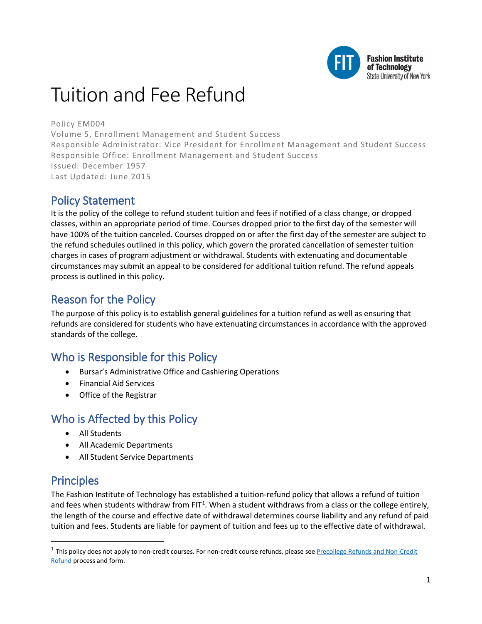

# Tuition and Fee Refund

### Policy EM004

Volume 5, Enrollment Management and Student Success Responsible Administrator: Vice President for Enrollment Management and Student Success Responsible Office: Enrollment Management and Student Success Issued: December 1957 Last Updated: June 2015

# Policy Statement

It is the policy of the college to refund student tuition and fees if notified of a class change, or dropped classes, within an appropriate period of time. Courses dropped prior to the first day of the semester will have 100% of the tuition canceled. Courses dropped on or after the first day of the semester are subject to the refund schedules outlined in this policy, which govern the prorated cancellation of semester tuition charges in cases of program adjustment or withdrawal. Students with extenuating and documentable circumstances may submit an appeal to be considered for additional tuition refund. The refund appeals process is outlined in this policy.

# Reason for the Policy

The purpose of this policy is to establish general guidelines for a tuition refund as well as ensuring that refunds are considered for students who have extenuating circumstances in accordance with the approved standards of the college.

# Who is Responsible for this Policy

- Bursar's Administrative Office and Cashiering Operations
- Financial Aid Services
- Office of the Registrar

# Who is Affected by this Policy

- All Students
- All Academic Departments
- All Student Service Departments

# **Principles**

 $\overline{a}$ 

The Fashion Institute of Technology has established a tuition-refund policy that allows a refund of tuition and fees when students withdraw from FIT<sup>[1](#page-0-0)</sup>. When a student withdraws from a class or the college entirely, the length of the course and effective date of withdrawal determines course liability and any refund of paid tuition and fees. Students are liable for payment of tuition and fees up to the effective date of withdrawal.

<span id="page-0-0"></span> $1$  This policy does not apply to non-credit courses. For non-credit course refunds, please see Precollege Refunds and Non-Credit [Refund](http://www.fitnyc.edu/precollege/classes/program-details/policies-and-forms/refunds.php) process and form.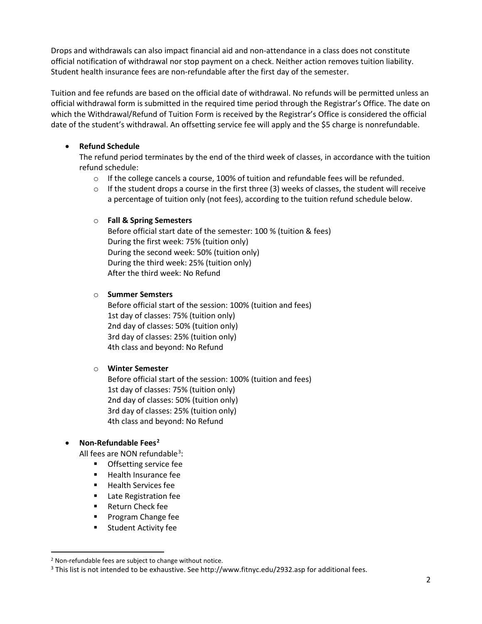Drops and withdrawals can also impact financial aid and non-attendance in a class does not constitute official notification of withdrawal nor stop payment on a check. Neither action removes tuition liability. Student health insurance fees are non-refundable after the first day of the semester.

Tuition and fee refunds are based on the official date of withdrawal. No refunds will be permitted unless an official withdrawal form is submitted in the required time period through the Registrar's Office. The date on which the Withdrawal/Refund of Tuition Form is received by the Registrar's Office is considered the official date of the student's withdrawal. An offsetting service fee will apply and the \$5 charge is nonrefundable.

### • **Refund Schedule**

The refund period terminates by the end of the third week of classes, in accordance with the tuition refund schedule:

- $\circ$  If the college cancels a course, 100% of tuition and refundable fees will be refunded.
- $\circ$  If the student drops a course in the first three (3) weeks of classes, the student will receive a percentage of tuition only (not fees), according to the tuition refund schedule below.

### o **Fall & Spring Semesters**

Before official start date of the semester: 100 % (tuition & fees) During the first week: 75% (tuition only) During the second week: 50% (tuition only) During the third week: 25% (tuition only) After the third week: No Refund

#### o **Summer Semsters**

Before official start of the session: 100% (tuition and fees) 1st day of classes: 75% (tuition only) 2nd day of classes: 50% (tuition only) 3rd day of classes: 25% (tuition only) 4th class and beyond: No Refund

#### o **Winter Semester**

Before official start of the session: 100% (tuition and fees) 1st day of classes: 75% (tuition only) 2nd day of classes: 50% (tuition only) 3rd day of classes: 25% (tuition only) 4th class and beyond: No Refund

### • **Non-Refundable Fees[2](#page-1-0)**

All fees are NON refundable<sup>[3](#page-1-1)</sup>:

- **•** Offsetting service fee
- Health Insurance fee
- Health Services fee
- Late Registration fee
- Return Check fee
- Program Change fee
- Student Activity fee

<span id="page-1-0"></span> <sup>2</sup> Non-refundable fees are subject to change without notice.

<span id="page-1-1"></span><sup>&</sup>lt;sup>3</sup> This list is not intended to be exhaustive. See http://www.fitnyc.edu/2932.asp for additional fees.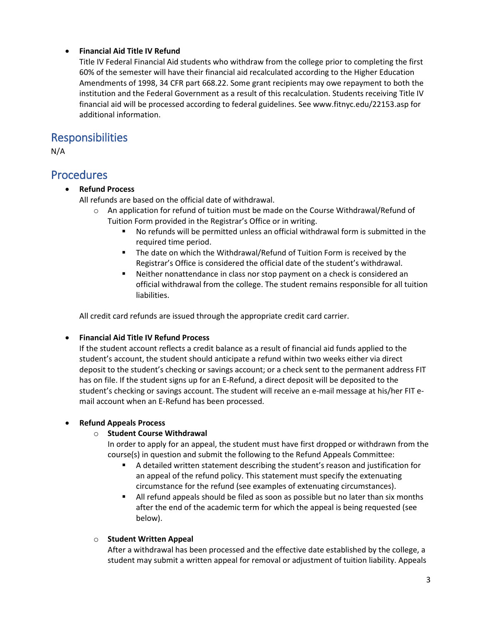### • **Financial Aid Title IV Refund**

Title IV Federal Financial Aid students who withdraw from the college prior to completing the first 60% of the semester will have their financial aid recalculated according to the Higher Education Amendments of 1998, 34 CFR part 668.22. Some grant recipients may owe repayment to both the institution and the Federal Government as a result of this recalculation. Students receiving Title IV financial aid will be processed according to federal guidelines. See www.fitnyc.edu/22153.asp for additional information.

### Responsibilities

N/A

### **Procedures**

### • **Refund Process**

All refunds are based on the official date of withdrawal.

- $\circ$  An application for refund of tuition must be made on the Course Withdrawal/Refund of Tuition Form provided in the Registrar's Office or in writing.
	- No refunds will be permitted unless an official withdrawal form is submitted in the required time period.
	- The date on which the Withdrawal/Refund of Tuition Form is received by the Registrar's Office is considered the official date of the student's withdrawal.
	- Neither nonattendance in class nor stop payment on a check is considered an official withdrawal from the college. The student remains responsible for all tuition liabilities.

All credit card refunds are issued through the appropriate credit card carrier.

### • **Financial Aid Title IV Refund Process**

If the student account reflects a credit balance as a result of financial aid funds applied to the student's account, the student should anticipate a refund within two weeks either via direct deposit to the student's checking or savings account; or a check sent to the permanent address FIT has on file. If the student signs up for an E-Refund, a direct deposit will be deposited to the student's checking or savings account. The student will receive an e-mail message at his/her FIT email account when an E-Refund has been processed.

### • **Refund Appeals Process**

### o **Student Course Withdrawal**

- In order to apply for an appeal, the student must have first dropped or withdrawn from the course(s) in question and submit the following to the Refund Appeals Committee:
	- A detailed written statement describing the student's reason and justification for an appeal of the refund policy. This statement must specify the extenuating circumstance for the refund (see examples of extenuating circumstances).
	- **IXED All refund appeals should be filed as soon as possible but no later than six months** after the end of the academic term for which the appeal is being requested (see below).

### o **Student Written Appeal**

After a withdrawal has been processed and the effective date established by the college, a student may submit a written appeal for removal or adjustment of tuition liability. Appeals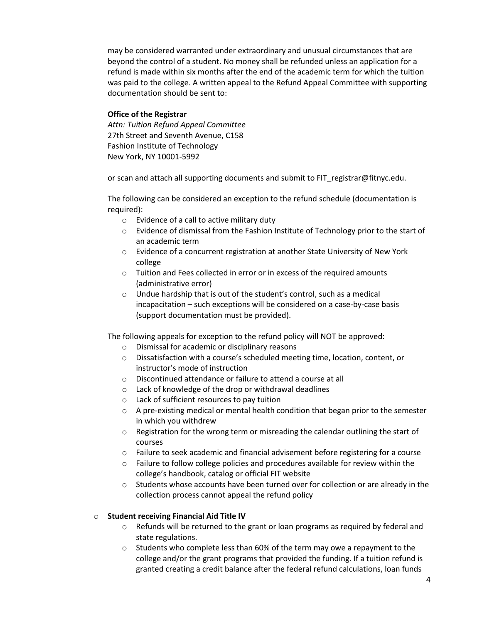may be considered warranted under extraordinary and unusual circumstances that are beyond the control of a student. No money shall be refunded unless an application for a refund is made within six months after the end of the academic term for which the tuition was paid to the college. A written appeal to the Refund Appeal Committee with supporting documentation should be sent to:

#### **Office of the Registrar**

*Attn: Tuition Refund Appeal Committee* 27th Street and Seventh Avenue, C158 Fashion Institute of Technology New York, NY 10001-5992

or scan and attach all supporting documents and submit to FIT\_registrar@fitnyc.edu.

The following can be considered an exception to the refund schedule (documentation is required):

- o Evidence of a call to active military duty
- $\circ$  Evidence of dismissal from the Fashion Institute of Technology prior to the start of an academic term
- o Evidence of a concurrent registration at another State University of New York college
- o Tuition and Fees collected in error or in excess of the required amounts (administrative error)
- o Undue hardship that is out of the student's control, such as a medical incapacitation – such exceptions will be considered on a case-by-case basis (support documentation must be provided).

The following appeals for exception to the refund policy will NOT be approved:

- o Dismissal for academic or disciplinary reasons
- $\circ$  Dissatisfaction with a course's scheduled meeting time, location, content, or instructor's mode of instruction
- o Discontinued attendance or failure to attend a course at all
- o Lack of knowledge of the drop or withdrawal deadlines
- o Lack of sufficient resources to pay tuition
- $\circ$  A pre-existing medical or mental health condition that began prior to the semester in which you withdrew
- $\circ$  Registration for the wrong term or misreading the calendar outlining the start of courses
- $\circ$  Failure to seek academic and financial advisement before registering for a course
- o Failure to follow college policies and procedures available for review within the college's handbook, catalog or official FIT website
- $\circ$  Students whose accounts have been turned over for collection or are already in the collection process cannot appeal the refund policy

#### o **Student receiving Financial Aid Title IV**

- $\circ$  Refunds will be returned to the grant or loan programs as required by federal and state regulations.
- o Students who complete less than 60% of the term may owe a repayment to the college and/or the grant programs that provided the funding. If a tuition refund is granted creating a credit balance after the federal refund calculations, loan funds